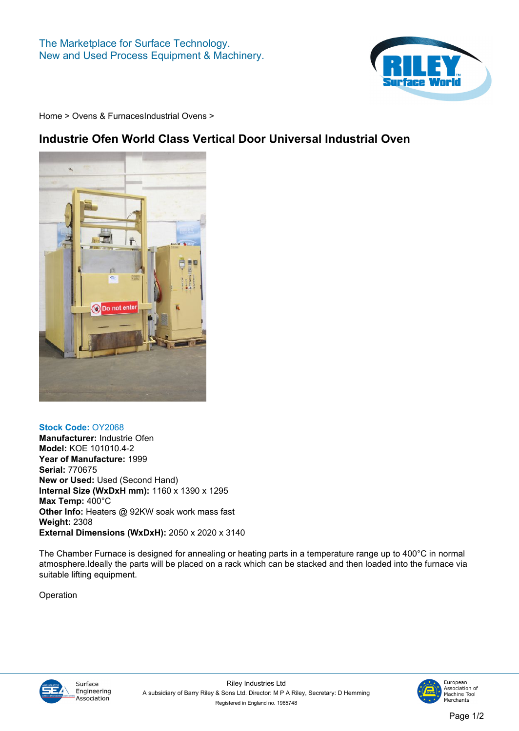

**[Home](https://www.rileysurfaceworld.co.uk) > [Ovens & Furnaces](https://www.rileysurfaceworld.co.uk/ovens.asp)[Industrial Ovens](https://www.rileysurfaceworld.co.uk/ovens-industrial.asp) >**

## **Industrie Ofen World Class Vertical Door Universal Industrial Oven**



## **Stock Code: OY2068**

**Manufacturer: Industrie Ofen Model: KOE 101010.4-2 Year of Manufacture: 1999 Serial: 770675 New or Used: Used (Second Hand) Internal Size (WxDxH mm): 1160 x 1390 x 1295 Max Temp: 400°C Other Info: Heaters @ 92KW soak work mass fast Weight: 2308 External Dimensions (WxDxH): 2050 x 2020 x 3140**

**The Chamber Furnace is designed for annealing or heating parts in a temperature range up to 400°C in normal atmosphere.Ideally the parts will be placed on a rack which can be stacked and then loaded into the furnace via suitable lifting equipment.**

**Operation**